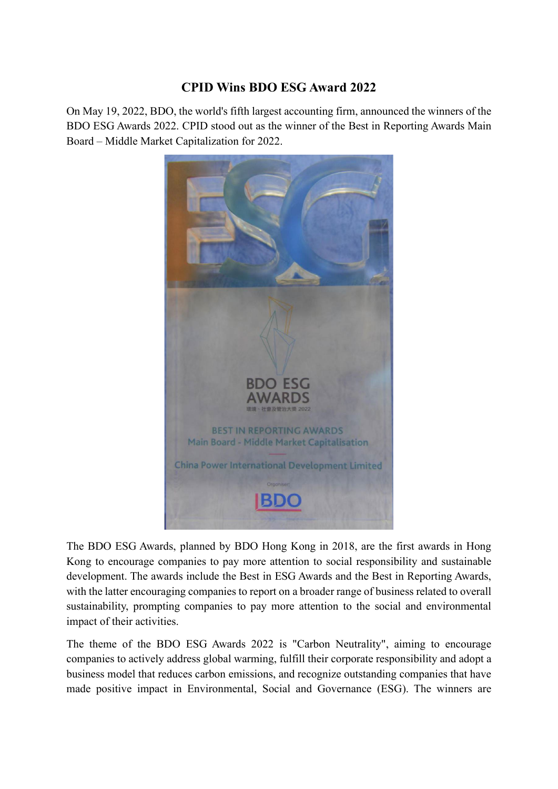## **CPID Wins BDO ESG Award 2022**

On May 19, 2022, BDO, the world's fifth largest accounting firm, announced the winners of the BDO ESG Awards 2022. CPID stood out as the winner of the Best in Reporting Awards Main Board – Middle Market Capitalization for 2022.



The BDO ESG Awards, planned by BDO Hong Kong in 2018, are the first awards in Hong Kong to encourage companies to pay more attention to social responsibility and sustainable development. The awards include the Best in ESG Awards and the Best in Reporting Awards, with the latter encouraging companies to report on a broader range of business related to overall sustainability, prompting companies to pay more attention to the social and environmental impact of their activities.

The theme of the BDO ESG Awards 2022 is "Carbon Neutrality", aiming to encourage companies to actively address global warming, fulfill their corporate responsibility and adopt a business model that reduces carbon emissions, and recognize outstanding companies that have made positive impact in Environmental, Social and Governance (ESG). The winners are